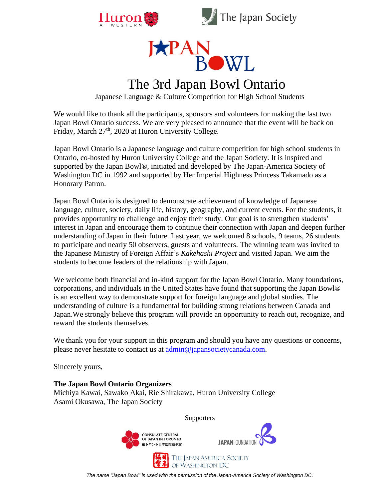





# The 3rd Japan Bowl Ontario

Japanese Language & Culture Competition for High School Students

We would like to thank all the participants, sponsors and volunteers for making the last two Japan Bowl Ontario success. We are very pleased to announce that the event will be back on Friday, March 27<sup>th</sup>, 2020 at Huron University College.

Japan Bowl Ontario is a Japanese language and culture competition for high school students in Ontario, co-hosted by Huron University College and the Japan Society. It is inspired and supported by the Japan Bowl®, initiated and developed by The Japan-America Society of Washington DC in 1992 and supported by Her Imperial Highness Princess Takamado as a Honorary Patron.

Japan Bowl Ontario is designed to demonstrate achievement of knowledge of Japanese language, culture, society, daily life, history, geography, and current events. For the students, it provides opportunity to challenge and enjoy their study. Our goal is to strengthen students' interest in Japan and encourage them to continue their connection with Japan and deepen further understanding of Japan in their future. Last year, we welcomed 8 schools, 9 teams, 26 students to participate and nearly 50 observers, guests and volunteers. The winning team was invited to the Japanese Ministry of Foreign Affair's *Kakehashi Project* and visited Japan. We aim the students to become leaders of the relationship with Japan.

We welcome both financial and in-kind support for the Japan Bowl Ontario. Many foundations, corporations, and individuals in the United States have found that supporting the Japan Bowl® is an excellent way to demonstrate support for foreign language and global studies. The understanding of culture is a fundamental for building strong relations between Canada and Japan.We strongly believe this program will provide an opportunity to reach out, recognize, and reward the students themselves.

We thank you for your support in this program and should you have any questions or concerns, please never hesitate to contact us at [admin@japansocietycanada.com.](mailto:admin@japansocietycanada.com)

Sincerely yours,

### **The Japan Bowl Ontario Organizers**

Michiya Kawai, Sawako Akai, Rie Shirakawa, Huron University College Asami Okusawa, The Japan Society

**Supporters**